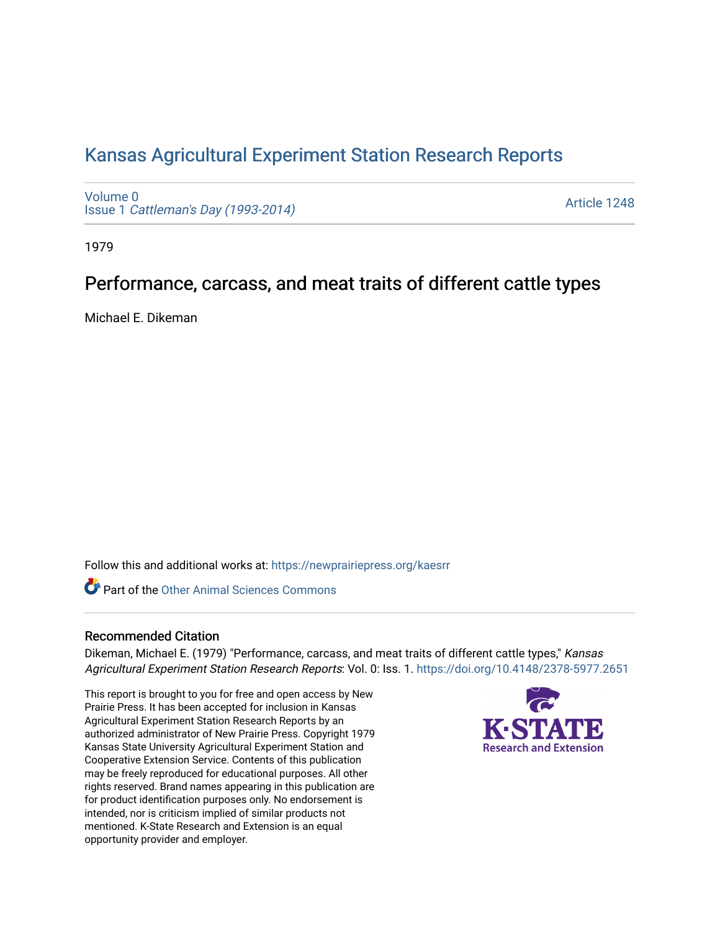# [Kansas Agricultural Experiment Station Research Reports](https://newprairiepress.org/kaesrr)

[Volume 0](https://newprairiepress.org/kaesrr/vol0) Issue 1 [Cattleman's Day \(1993-2014\)](https://newprairiepress.org/kaesrr/vol0/iss1) 

[Article 1248](https://newprairiepress.org/kaesrr/vol0/iss1/1248) 

1979

## Performance, carcass, and meat traits of different cattle types

Michael E. Dikeman

Follow this and additional works at: [https://newprairiepress.org/kaesrr](https://newprairiepress.org/kaesrr?utm_source=newprairiepress.org%2Fkaesrr%2Fvol0%2Fiss1%2F1248&utm_medium=PDF&utm_campaign=PDFCoverPages) 

Part of the [Other Animal Sciences Commons](http://network.bepress.com/hgg/discipline/82?utm_source=newprairiepress.org%2Fkaesrr%2Fvol0%2Fiss1%2F1248&utm_medium=PDF&utm_campaign=PDFCoverPages)

### Recommended Citation

Dikeman, Michael E. (1979) "Performance, carcass, and meat traits of different cattle types," Kansas Agricultural Experiment Station Research Reports: Vol. 0: Iss. 1.<https://doi.org/10.4148/2378-5977.2651>

This report is brought to you for free and open access by New Prairie Press. It has been accepted for inclusion in Kansas Agricultural Experiment Station Research Reports by an authorized administrator of New Prairie Press. Copyright 1979 Kansas State University Agricultural Experiment Station and Cooperative Extension Service. Contents of this publication may be freely reproduced for educational purposes. All other rights reserved. Brand names appearing in this publication are for product identification purposes only. No endorsement is intended, nor is criticism implied of similar products not mentioned. K-State Research and Extension is an equal opportunity provider and employer.

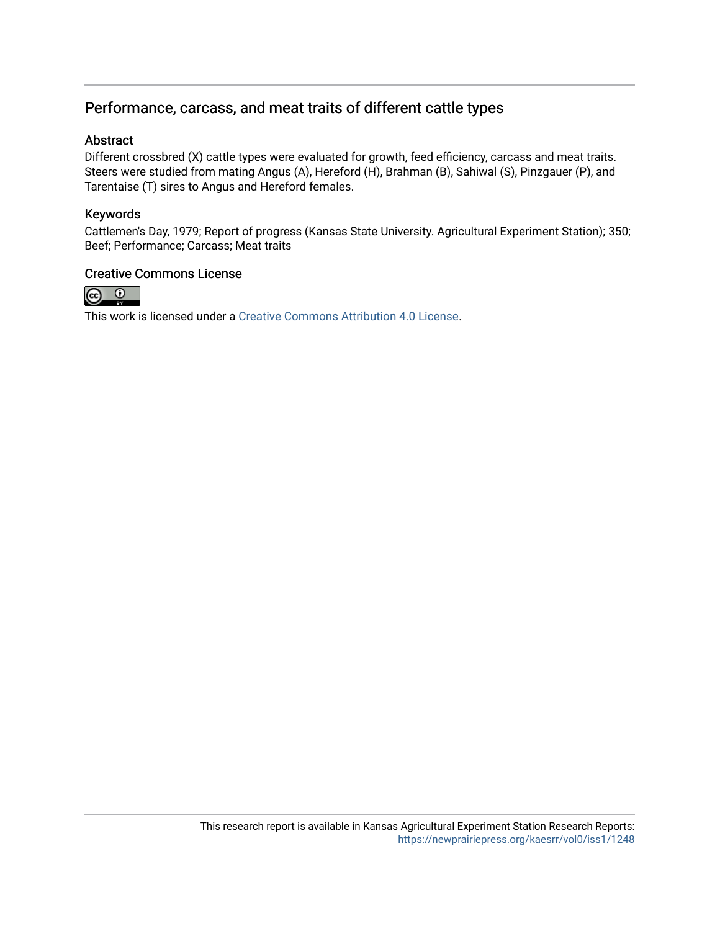## Performance, carcass, and meat traits of different cattle types

### Abstract

Different crossbred (X) cattle types were evaluated for growth, feed efficiency, carcass and meat traits. Steers were studied from mating Angus (A), Hereford (H), Brahman (B), Sahiwal (S), Pinzgauer (P), and Tarentaise (T) sires to Angus and Hereford females.

## Keywords

Cattlemen's Day, 1979; Report of progress (Kansas State University. Agricultural Experiment Station); 350; Beef; Performance; Carcass; Meat traits

### Creative Commons License



This work is licensed under a [Creative Commons Attribution 4.0 License](https://creativecommons.org/licenses/by/4.0/).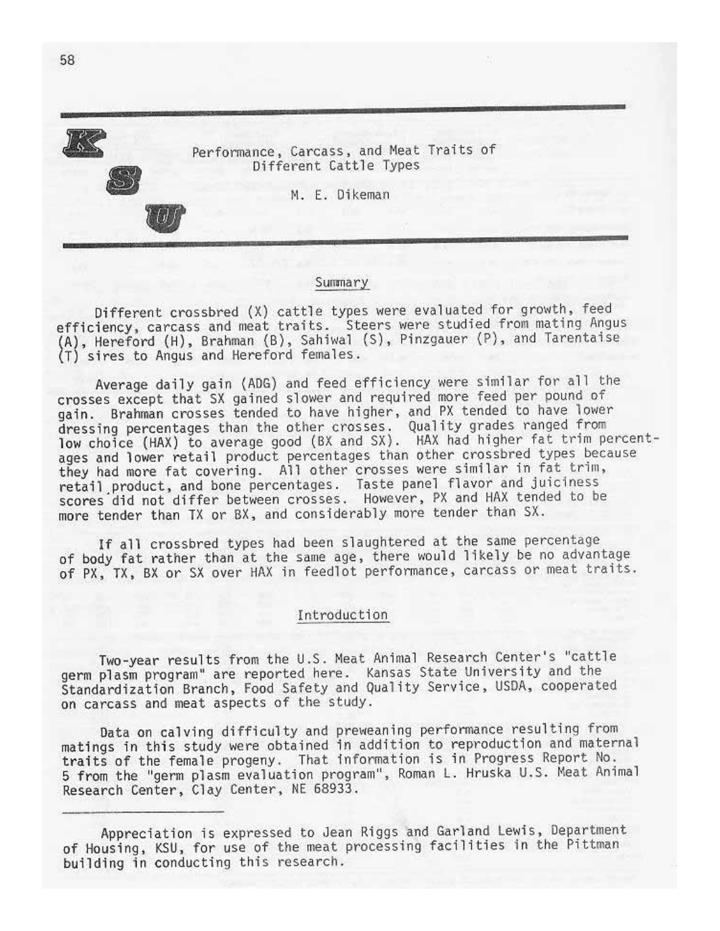

#### Summary

Different crossbred (X) cattle types were evaluated for growth, feed efficiency, carcass and meat traits. Steers were studied from mating Angus (A), Hereford (H), Brahman (B), Sahiwal (S), Pinzgauer (P), and Tarentaise<br>(T) sires to Angus and Hereford females.

Average daily gain (ADG) and feed efficiency were similar for all the crosses except that SX gained slower and required more feed per pound of gain. Brahman crosses tended to have higher, and PX tended to have lower dressing percentages than the other crosses. Quality grades ranged from<br>low choice (HAX) to average good (BX and SX). HAX had higher fat trim percentages and lower retail product percentages than other crossbred types because they had more fat covering. All other crosses were similar in fat trim, retail product, and bone percentages. Taste panel flavor and juiciness scores did not differ between crosses. However, PX and HAX tended to be more tender than TX or BX, and considerably more tender than SX.

If all crossbred types had been slaughtered at the same percentage of body fat rather than at the same age, there would likely be no advantage of PX, TX, BX or SX over HAX in feedlot performance, carcass or meat traits.

#### Introduction

Two-year results from the U.S. Meat Animal Research Center's "cattle germ plasm program" are reported here. Kansas State University and the Standardization Branch, Food Safety and Quality Service, USDA, cooperated on carcass and meat aspects of the study.

Data on calving difficulty and preweaning performance resulting from matings in this study were obtained in addition to reproduction and maternal traits of the female progeny. That information is in Progress Report No. 5 from the "germ plasm evaluation program", Roman L. Hruska U.S. Meat Animal Research Center, Clay Center, NE 68933.

Appreciation is expressed to Jean Riggs and Garland Lewis, Department of Housing, KSU, for use of the meat processing facilities in the Pittman building in conducting this research.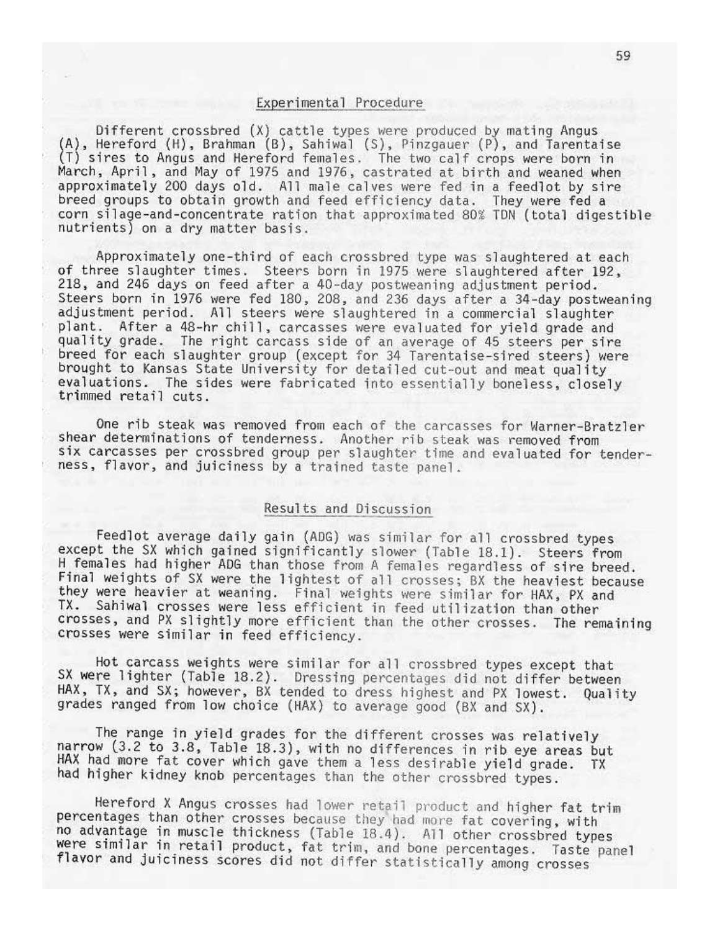#### Experimental Procedure

Different crossbred (X) cattle types were produced by mating Angus (A), Hereford (H), Brahman (B), Sahiwal (S), Pinzgauer (P), and Tarentaise (T) sires to Angus and Hereford females. The two calf crops were born in March, April, and May of 1975 and 1976, castrated at birth and weaned when approximately 200 days old. All male calves were fed in a feedlot by sire breed groups to obtain growth and feed efficiency data. They were fed a corn silage-and-concentrate ration that approximated 80% TDN (total digestible nutrients) on a dry matter basis.

Approximately one-third of each crossbred type was slaughtered at each of three slaughter times. Steers born in 1975 were slaughtered after 192, 218, and 246 days on feed after a 40-day postweaning adjustment period. Steers born in 1976 were fed 180, 208, and 236 days after a 34-day postweaning adjustment period. All steers were slaughtered in a commercial slaughter plant. After a 48-hr chill, carcasses were evaluated for yield grade and<br>quality grade. The right carcass side of an average of 45 steers per sire breed for each slaughter group (except for 34 Tarentaise-sired steers) were brought to Kansas State University for detailed cut-out and meat quality evaluations. The sides were fabricated into essentially boneless, closely trimmed retail cuts.

One rib steak was removed from each of the carcasses for Warner-Bratzler shear determinations of tenderness. Another rib steak was removed from six carcasses per crossbred group per slaughter time and evaluated for tenderness, flavor, and juiciness by a trained taste panel.

#### Results and Discussion

Feedlot average daily gain (ADG) was similar for all crossbred types except the SX which gained significantly slower (Table 18.1). Steers from H females had higher ADG than those from A females regardless of sire breed. Final weights of SX were the lightest of all crosses; BX the heaviest because they were heavier at weaning. Final weights were similar for HAX, PX and TX. Sahiwal crosses were less efficient in feed utilization than other crosses, and PX slightly more efficient than the other crosses. The remaining crosses were similar in feed efficiency.

Hot carcass weights were similar for all crossbred types except that SX were lighter (Table 18.2). Dressing percentages did not differ between HAX, TX, and SX; however, BX tended to dress highest and PX lowest. Quality grades ranged from low choice (HAX) to average good (BX and SX).

The range in yield grades for the different crosses was relatively narrow (3.2 to 3.8, Table 18.3), with no differences in rib eye areas but HAX had more fat cover which gave them a less desirable yield grade. TX had higher kidney knob percentages than the other crossbred types.

Hereford X Angus crosses had lower retail product and higher fat trim percentages than other crosses because they had more fat covering, with no advantage in muscle thickness (Table 18.4). All other crossbred types were similar in retail product, fat trim, and bone percentages. Taste panel flavor and juiciness scores did not differ statistically among crosses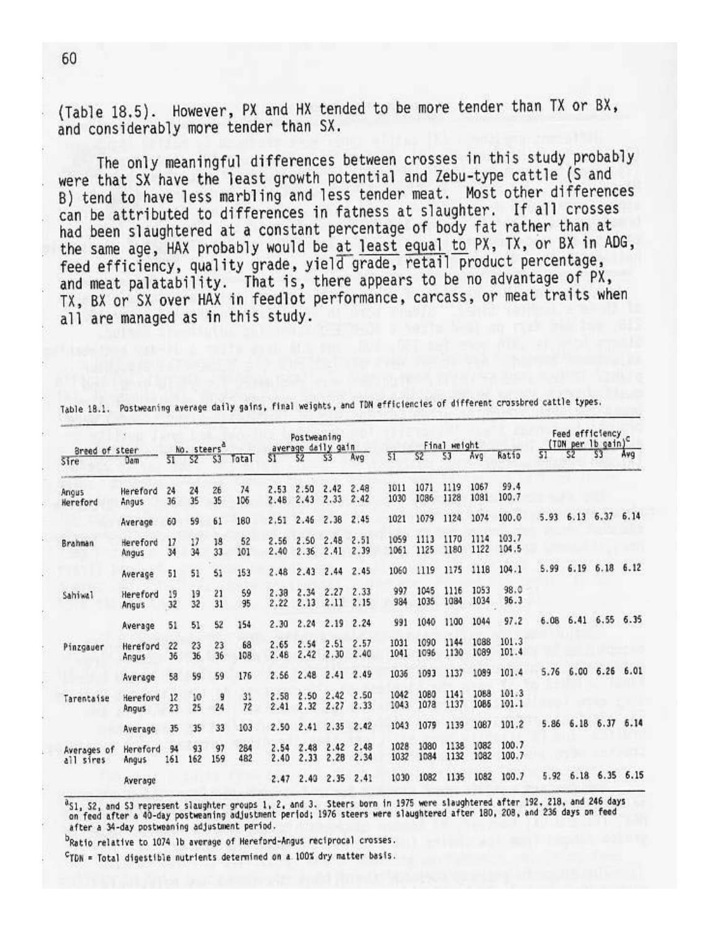(Table 18.5). However, PX and HX tended to be more tender than TX or BX, and considerably more tender than SX.

The only meaningful differences between crosses in this study probably were that SX have the least growth potential and Zebu-type cattle (S and B) tend to have less marbling and less tender meat. Most other differences can be attributed to differences in fatness at slaughter. If all crosses had been slaughtered at a constant percentage of body fat rather than at the same age, HAX probably would be at least equal to PX, TX, or BX in ADG, feed efficiency, quality grade, yield grade, retail product percentage, and meat palatability. That is, there appears to be no advantage of PX, TX, BX or SX over HAX in feedlot performance, carcass, or meat traits when all are managed as in this study.

| Breed of steer           | x                 |           | No. steers <sup>a</sup> |           |            |              | Postweaning  | average daily gain |              |                 |              | Final weight |              |                |      |                | Feed efficiency c<br>(TDN per lb gain) |      |
|--------------------------|-------------------|-----------|-------------------------|-----------|------------|--------------|--------------|--------------------|--------------|-----------------|--------------|--------------|--------------|----------------|------|----------------|----------------------------------------|------|
| Sire                     | Dam               | 51        | SZ.                     | 53        | Total      | ŠΤ           | 52           | 53                 | Avg          | $\overline{51}$ | S2           | 53           | Avg          | Ratio          | S1   | S <sub>2</sub> | S3                                     | Avg  |
| Angus<br>Hereford        | Hereford<br>Angus | 24<br>36  | 24<br>35                | 26<br>35  | 74<br>106  | 2.53<br>2.48 | 2.50<br>2.43 | 2.42<br>2.33       | 2.48<br>2.42 | 1011<br>1030    | 1071<br>1086 | 1119<br>1128 | 1067<br>1081 | 99.4<br>100.7  |      |                |                                        |      |
|                          | Average           | 60        | 59                      | 61        | 180        | 2.51         | 2.46         | 2.38               | 2.45         | 1021            | 1079         | 1124         | 1074         | 100.0          | 5.93 |                | 6.13 6.37                              | 6.14 |
| Brahnan                  | Hereford<br>Angus | 17<br>34  | 17<br>34                | 18<br>33  | 52<br>101  | 2.56<br>2.40 | 2.50<br>2.36 | 2.48<br>2.41       | 2.51<br>2.39 | 1059<br>1061    | 1113<br>1125 | 1170<br>1180 | 1114<br>1122 | 103.7<br>104.5 |      |                |                                        |      |
|                          | Average           | 51        | 51                      | 51        | 153        | 2.48         | 2.43         | 2.44               | 2.45         | 1060            | 1119         | 1175         | 1118         | 104.1          | 5.99 | 6.19           | 6.18                                   | 6.12 |
| Sahiwa]                  | Hereford<br>Angus | 19<br>32  | 19<br>32                | 21<br>31  | 59<br>95   | 2.38<br>2.22 | 2.34<br>2.13 | 2.27<br>2.11       | 2.33<br>2.15 | 997<br>984      | 1045<br>1035 | 1116<br>1084 | 1053<br>1034 | 98.0<br>96.3   |      |                |                                        |      |
|                          | Average           | 51        | 51                      | 52        | 154        | 2.30         | 2.24         | 2.19               | 2.24         | 991             | 1040         | 1100         | 1044         | 97.2           | 6.08 | 6.41           | 6.55                                   | 6.35 |
| Pinzgauer                | Hereford<br>Angus | 22<br>36  | 23<br>36                | 23<br>36  | 68<br>108  | 2.65<br>2.46 | 2.54<br>2.42 | 2.51<br>2.30       | 2.57<br>2.40 | 1031<br>1041    | 1090<br>1096 | 1144<br>1130 | 1088<br>1089 | 101.3<br>101.4 |      |                |                                        |      |
|                          | Average           | 58        | 59                      | 59        | 176        | 2.56         | 2.48         | 2.41               | 2.49         | 1036            | 1093         | 1137         | 1089         | 101.4          | 5.76 | 6.00           | 6.26                                   | 6.01 |
| Tarentaise               | Hereford<br>Angus | 12<br>23  | 10<br>25                | 9<br>24   | 31<br>72   | 2.58<br>2.41 | 2.50<br>2.32 | 2.42<br>2.27       | 2.50<br>2.33 | 1042<br>1043    | 1080<br>1078 | 1141<br>1137 | 1088<br>1085 | 101.3<br>101.1 |      |                |                                        |      |
|                          | Average           | 35        | 35                      | 33        | 103        | 2.50         | 2.41         | 2.35               | 2.42         | 1043            | 1079         | 1139         | 1087         | 101.2          | 5.86 |                | 6.18 6.37                              | 6.14 |
| Averages of<br>all sires | Hereford<br>Angus | 94<br>161 | 93<br>162               | 97<br>159 | 284<br>482 | 2.54<br>2.40 | 2.48<br>2.33 | 2.42<br>2.28       | 2.48<br>2.34 | 1028<br>1032    | 1080<br>1084 | 1138<br>1132 | 1082<br>1082 | 100.7<br>100.7 |      |                |                                        |      |
|                          | Average           |           |                         |           |            | 2.47         | 2.40         | 2.35               | 2.41         | 1030            | 1082         | 1135         | 1082         | 100.7          | 5.92 |                | $6.18$ $6.35$                          | 6.15 |

Table 18.1. Postweaning average daily gains, final weights, and TDN efficiencies of different crossbred cattle types.

<sup>a</sup>S1, S2, and S3 represent slaughter groups 1, 2, and 3. Steers born in 1975 were slaughtered after 192, 218, and 246 days<br>on feed after a 40-day postweaning adjustment period; 1976 steers were slaughtered after 180, 208, after a 34-day postweaning adjustment period.

<sup>D</sup>Ratio relative to 1074 lb average of Hereford-Angus reciprocal crosses.

<sup>C</sup>TDN = Total digestible nutrients determined on a 100% dry matter basis.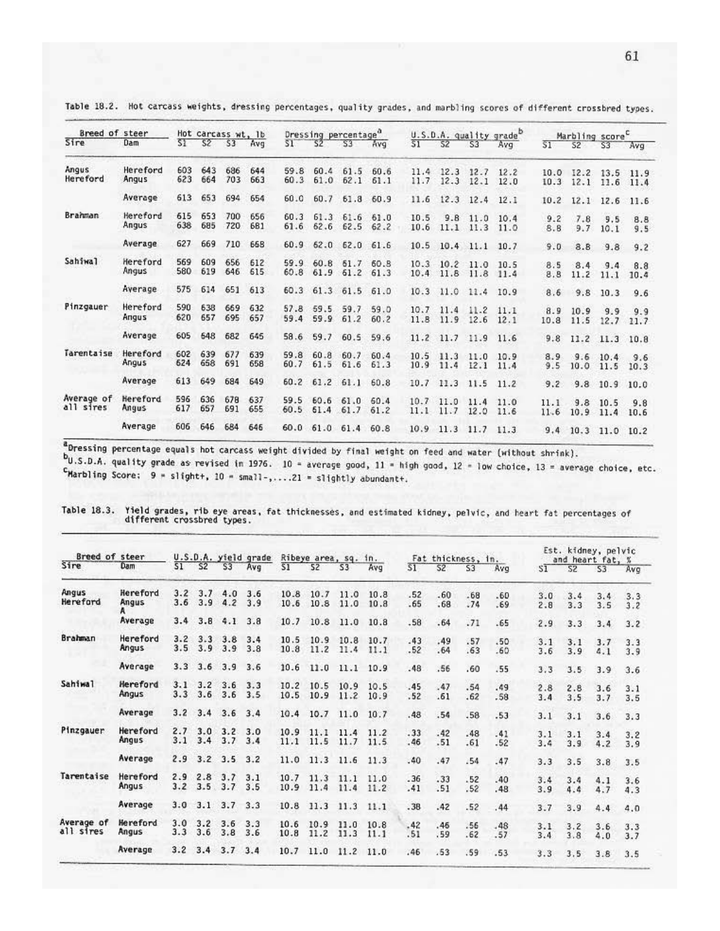| Breed of steer |          |     |     | Hot carcass wt. 1b |     |      |                | Dressing percentage <sup>a</sup> |           |                 |                      |           | U.S.D.A. quality grade |                 | Marbling score <sup>C</sup> |                |      |
|----------------|----------|-----|-----|--------------------|-----|------|----------------|----------------------------------|-----------|-----------------|----------------------|-----------|------------------------|-----------------|-----------------------------|----------------|------|
| Sire           | Dam      | 51  | 52  | \$3                | Avg | ST.  | S2             | S3                               | pvn       | $\overline{51}$ | 52                   | S3        | Ava                    | $\overline{51}$ | 52                          | S3             | Avg  |
| Angus          | Hereford | 603 | 643 | 686                | 644 | 59.8 | 60.4           | 61.5                             | 60.6      | 11.4            | 12.3                 | 12.7      | 12.2                   | 10.0            | 12.2                        | 13.5           | 11.9 |
| Hereford       | Angus    | 623 | 664 | 703                | 663 | 60.3 | 61.0           | 62.1                             | 61.1      | 11.7            | 12.3                 | 12.1      | 12.0                   | 10.3            | 12.1                        | 11.6           | 11.4 |
|                | Average  | 613 | 653 | 694                | 654 | 60.0 | 60.7           |                                  | 61.8 60.9 | 11.6            | 12.3                 | 12.4      | 12.1                   | 10.2            | 12.1                        | 12.6           | 11.6 |
| Brahman        | Hereford | 615 | 653 | 700                | 656 | 60.3 |                | 61.3 61.6 61.0                   |           | 10.5            | 9.8                  | 11.0      | 10.4                   | 9.2             | 7.8                         | 9.5            | 8.8  |
|                | Angus    | 638 | 685 | 720                | 681 | 61.6 |                | 62.6 62.5                        | 62.2      | 10.6            |                      | 11.1 11.3 | 11.0                   | 8.8             | 9.7                         | 10.1           | 9.5  |
|                | Average  | 627 | 669 | 710                | 658 | 60.9 |                | 62.0 62.0 61.6                   |           |                 | 10.5 10.4 11.1       |           | 10.7                   | 9.0             | 8.8                         | 9.8            | 9.2  |
| Sahiwal        | Hereford | 569 | 609 | 656                | 612 | 59.9 |                | 60.8 51.7 60.8                   |           |                 | $10.3$ $10.2$ $11.0$ |           | 10.5                   | 8.5             | 8.4                         | 9.4            | 8.8  |
|                | Angus    | 580 | 619 | 646                | 615 | 60.8 |                | 61.9 61.2 61.3                   |           | 10.4            | 11.8                 | 11.8      | 11.4                   | 8.8             | 11.2                        | 11.1           | 10.4 |
|                | Average  | 575 | 614 | 651                | 613 | 60.3 | 61.3           | 61.5                             | 61.0      | 10.3            | 11.0                 | 11.4      | 10.9                   | 8.6             | 9.8                         | 10.3           | 9.6  |
| Pinzgauer      | Hereford | 590 | 638 | 669                | 632 | 57.8 | 59.5           | 59.7                             | 59.0      |                 | $10.7$ 11.4          | 11.2      | 11.1                   | 8.9             | 10.9                        | 9.9            | 9.9  |
|                | Angus    | 620 | 657 | 695                | 657 | 59.4 | 59.9           | 61.2                             | 60.2      | 11.8            | 11.9 12.6            |           | 12.1                   | 10.8            |                             | 11.5 12.7 11.7 |      |
|                | Average  | 605 | 648 | 682                | 645 | 58.6 | 59.7           | 60.5                             | 59.6      |                 | $11.2$ 11.7          | 11.9      | 11.6                   | 9.8             | 11.2                        | 11.3 10.8      |      |
| Tarentaise     | Hereford | 602 | 639 | 677                | 639 | 59.8 | 60.8           | 60.7                             | 60.4      |                 | $10.5$ 11.3          | 11.0      | 10.9                   | 8.9             |                             | $9.6$ 10.4     | 9.6  |
|                | Angus    | 624 | 658 | 691                | 658 | 60.7 | 61.5           | 61.6                             | 61.3      | 10.9            | 11.4                 | 12.1      | 11.4                   | 9.5             | 10.0                        | 11.5           | 10.3 |
|                | Average  | 613 | 649 | 684                | 649 | 60.2 | 61.2           | 61.1                             | 60.8      | 10.7            | 11.3                 | 11.5      | 11.2                   | 9.2             | 9.8                         | 10.9           | 10.0 |
| Average of     | Hereford | 596 | 636 | 678                | 637 |      | 59.5 60.6      | 61.0                             | 60.4      |                 | $10.7$ 11.0          | 11.4      | 11.0                   | 11.1            |                             | $9.8$ 10.5     | 9.8  |
| all sires      | Angus    | 617 | 657 | 691                | 655 | 60.5 | 61.4           | 61.7                             | 61.2      | 11.1            | 11.7                 | 12.0      | 11.6                   | 11.6            |                             | 10.9 11.4      | 10.6 |
|                | Average  | 606 | 646 | 684                | 646 |      | 60.0 61.0 61.4 |                                  | 60.8      |                 | 10.9 11.3 11.7       |           | 11.3                   |                 | 9.4 10.3 11.0 10.2          |                |      |

Table 18.2. Hot carcass weights, dressing percentages, quality grades, and marbling scores of different crossbred types.

a<br>Dressing percentage equals hot carcass weight divided by final weight on feed and water (without shrink).

bu.s.D.A. quality grade as revised in 1976. 10 - average good, 11 - high good, 12 - low choice, 13 = average choice, etc.  $c$ Marbling Score; 9 = slight+, 10 = small-,....21 = slightly abundant+.

| Breed of steer<br>Sire  |                   |            |            |            | U.S.D.A. yield grade |              |              | Ribeye area, sq. in. |              |            | Fat thickness, in. |                |              | Est. kidney, pelvic<br>and heart fat, % |                |            |            |  |
|-------------------------|-------------------|------------|------------|------------|----------------------|--------------|--------------|----------------------|--------------|------------|--------------------|----------------|--------------|-----------------------------------------|----------------|------------|------------|--|
|                         | Dam               | 51         | 52         | <b>S3</b>  | Avg                  | \$1          | 52           | S3                   | Avg          | 51         | 52                 | S <sub>3</sub> | Avg          | SI.                                     | S <sub>2</sub> | \$3        | Ava        |  |
| Angus                   | Hereford          | 3.2        | 3.7        | 4.0        | 3.6                  | 10.8         | 10.7         | 11.0                 | 10.8         | .52        | .60                | $-68$          | .60          | 3.0                                     | 3.4            | 3.4        | 3.3        |  |
| Hereford                | Angus             | 3.6        | 3.9        | 4.2        | 3.9                  | 10.6         | 10.8         | 11.0                 | 10.8         | .65        | .68                | .74            | .69          | 2.8                                     | 3.3            | 3.5        | 3.2        |  |
|                         | Average           | 3.4        | 3.8        | 4.1        | 3.8                  | 10.7         | 10.8         | 11.0                 | 10.8         | .58        | .64                | .71            | .65          | 2.9                                     | 3.3            | 3.4        | 3.2        |  |
| Brahman                 | Hereford<br>Angus | 3.2<br>3.5 | 3.3<br>3.9 | 3.8<br>3.9 | 3.4<br>3.8           | 10.5<br>10.8 | 10.9<br>11.2 | 10.8<br>11.4         | 10.7<br>11.1 | .43<br>.52 | .49<br>.64         | .57<br>.63     | .50<br>.60   | 3.1<br>3.6                              | 3.1<br>3.9     | 3.7<br>4.1 | 3.3<br>3.9 |  |
|                         | Average           | 3.3        | 3.6        | 3.9        | 3.6                  | 10.6         | 11.0         | 11.1                 | 10.9         | .48        | .56                | .60            | .55          | 3.3                                     | 3.5            | 3.9        | 3.6        |  |
| <b>Sahiwal</b>          | Hereford<br>Angus | 3.1<br>3.3 | 3.2<br>3.6 | 3.6<br>3.6 | 3.3<br>3.5           | 10.2<br>10.5 | 10.5<br>10.9 | 10.9<br>11.2         | 10.5<br>10.9 | .45<br>.52 | .47<br>.61         | .54<br>.62     | .49<br>.58   | 2.8<br>3.4                              | 2.8<br>3.5     | 3.6<br>3.7 | 3.1<br>3.5 |  |
|                         | Average           | 3.2        | 3.4        | 3.6        | 3.4                  | 10.4         | 10.7         | 11.0                 | 10.7         | .48        | .54                | .58            | .53          | 3.1                                     | 3.1            | 3.6        | 3.3        |  |
| Pinzgauer               | Hereford<br>Angus | 2.7<br>3.1 | 3.0<br>3.4 | 3.2<br>3.7 | 3.0<br>3.4           | 10.9<br>11.1 | 11.1<br>11.5 | 11.4<br>11.7         | 11.2<br>11.5 | .33<br>.46 | .42<br>.51         | .48<br>.61     | .41<br>$-52$ | 3.1<br>3.4                              | 3.1<br>3.9     | 3.4<br>4.2 | 3.2<br>3.9 |  |
|                         | Average           | 2.9        | 3.2        | 3.5        | 3.2                  | 11.0         | 11.3         | 11.6                 | 11.3         | .40        | .47                | .54            | .47          | 3.3                                     | 3.5            | 3.8        | 3.5        |  |
| Tarentaise              | Hereford<br>Angus | 2.9<br>3.2 | 2.8<br>3.5 | 3.7<br>3.7 | 3.1<br>3.5           | 10.7<br>10.9 | 11.3<br>11.4 | 11.1<br>11.4         | 11.0<br>11.2 | .36<br>.41 | .33<br>.51         | .52<br>.52     | .40<br>.48   | 3.4<br>3.9                              | 3.4<br>4.4     | 4.1<br>4.7 | 3.6<br>4.3 |  |
|                         | Average           | 3.0        | 3.1        | 3.7        | 3.3                  | 10.8         | 11.3         | 11.3                 | 11.1         | .38        | .42                | .52            | .44          | 3.7                                     | 3.9            | 4.4        | 4.0        |  |
| Average of<br>all sires | Hereford<br>Angus | 3.0<br>3.3 | 3.2<br>3.6 | 3.6<br>3.8 | 3.3<br>3.6           | 10.6<br>10.8 | 10.9<br>11.2 | 11.0<br>11.3         | 10.8<br>11.1 | .42<br>.51 | .45<br>.59         | .56<br>.62     | .48<br>.57   | 3.1<br>3.4                              | 3.2<br>3.8     | 3.6<br>4.0 | 3.3<br>3.7 |  |
|                         | Average           | 3.2        | 3.4        | 3.7        | 3.4                  | 10.7         | 11.0         | 11.2                 | 11.0         | .46        | .53                | .59            | .53          | 3.3                                     | 3.5            | 3.8        | 3.5        |  |

Table 18.3. Yield grades, rib eye areas, fat thicknesses, and estimated kidney, pelvic, and heart fat percentages of different crossbred types.